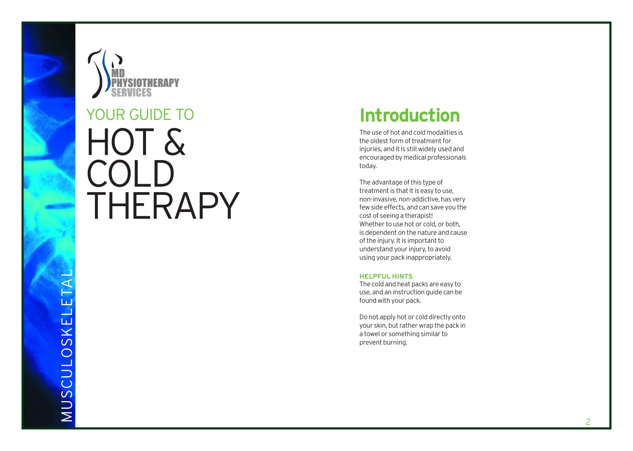

# HOT & COLD YOUR GUIDE TO<br>HOT &<br>COLD<br>THERAPY

# **Introduction**

The use of hot and cold modalities is the oldest form of treatment for injuries, and it is still widely used and encouraged by medical professionals today.

The advantage of this type of treatment is that it is easy to use, non-invasive, non-addictive, has very few side effects, and can save you the cost of seeing a therapist! Whether to use hot or cold, or both, is dependent on the nature and cause of the injury. It is important to understand your injury, to avoid using your pack inappropriately.

#### **HELPFUL HINTS**

The cold and heat packs are easy to use, and an instruction guide can be found with your pack.

Do not apply hot or cold directly onto your skin, but rather wrap the pack in a towel or something similar to prevent burning.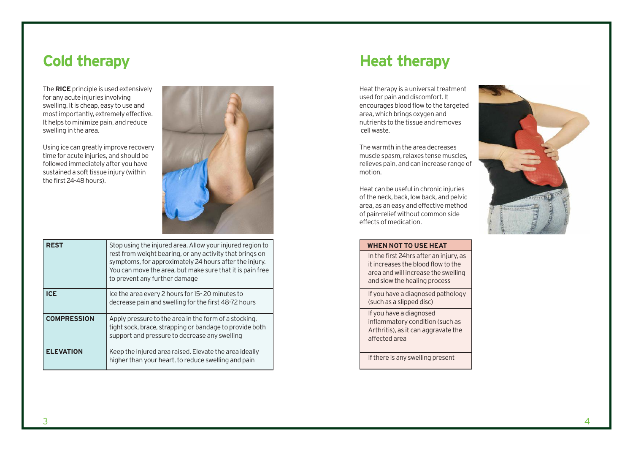The **RICE** principle is used extensively for any acute injuries involving swelling. It is cheap, easy to use and most importantly, extremely effective. It helps to minimize pain, and reduce swelling in the area.

Using ice can greatly improve recovery time for acute injuries, and should be followed immediately after you have sustained a soft tissue injury (within the first 24-48 hours).



| <b>REST</b>        | Stop using the injured area. Allow your injured region to<br>rest from weight bearing, or any activity that brings on<br>symptoms, for approximately 24 hours after the injury.<br>You can move the area, but make sure that it is pain free<br>to prevent any further damage |
|--------------------|-------------------------------------------------------------------------------------------------------------------------------------------------------------------------------------------------------------------------------------------------------------------------------|
| <b>ICE</b>         | Ice the area every 2 hours for 15-20 minutes to<br>decrease pain and swelling for the first 48-72 hours                                                                                                                                                                       |
| <b>COMPRESSION</b> | Apply pressure to the area in the form of a stocking.<br>tight sock, brace, strapping or bandage to provide both<br>support and pressure to decrease any swelling                                                                                                             |
| <b>ELEVATION</b>   | Keep the injured area raised. Elevate the area ideally<br>higher than your heart, to reduce swelling and pain                                                                                                                                                                 |

### **Cold therapy Heat therapy**

Heat therapy is a universal treatment used for pain and discomfort. It encourages blood flow to the targeted area, which brings oxygen and nutrients to the tissue and removes cell waste.

The warmth in the area decreases muscle spasm, relaxes tense muscles, relieves pain, and can increase range of motion.

Heat can be useful in chronic injuries of the neck, back, low back, and pelvic area, as an easy and effective method of pain-relief without common side effects of medication.



#### **WHEN NOT TO USE HEAT**  In the first 24hrs after an injury, as

it increases the blood flow to the area and will increase the swelling and slow the healing process

If you have a diagnosed pathology (such as a slipped disc)

If you have a diagnosed inflammatory condition (such as Arthritis), as it can aggravate the affected area

If there is any swelling present